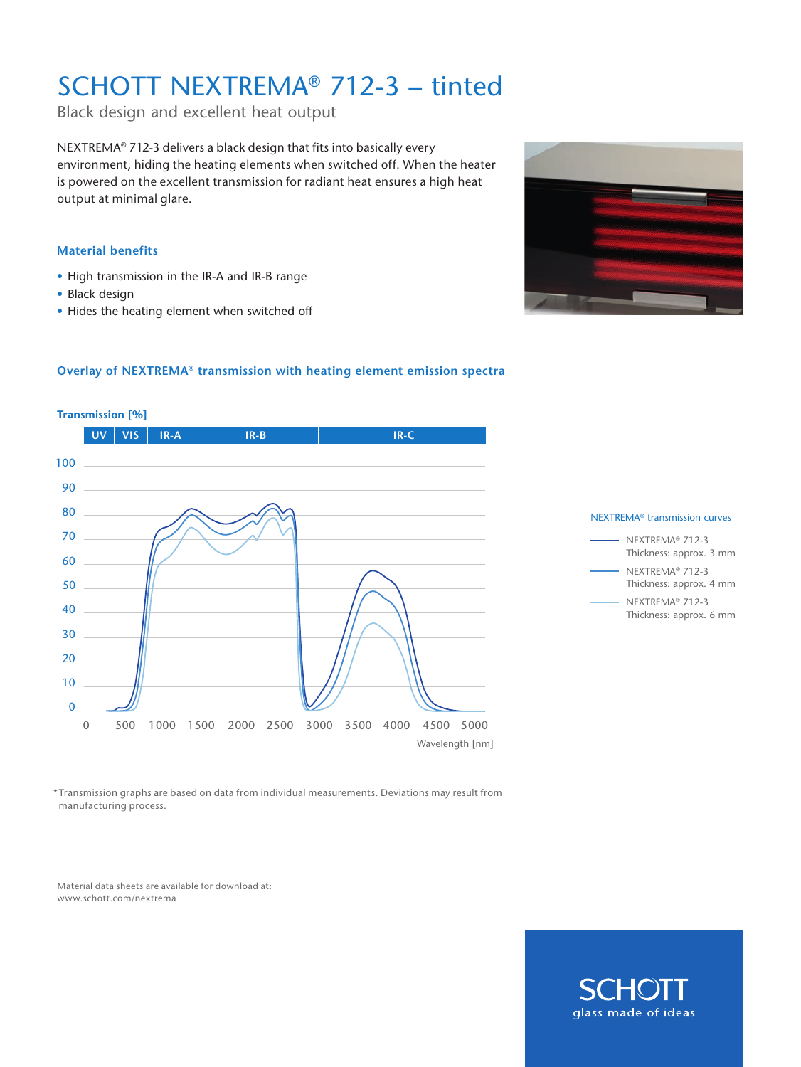# SCHOTT NEXTREMA® 712-3 – tinted

Black design and excellent heat output

NEXTREMA® 712-3 delivers a black design that fits into basically every environment, hiding the heating elements when switched off. When the heater is powered on the excellent transmission for radiant heat ensures a high heat output at minimal glare.

#### **Material benefits**

- High transmission in the IR-A and IR-B range
- Black design
- Hides the heating element when switched off



#### **Overlay of NEXTREMA® transmission with heating element emission spectra**







\*Transmission graphs are based on data from individual measurements. Deviations may result from manufacturing process.

Material data sheets are available for download at: www.schott.com/nextrema